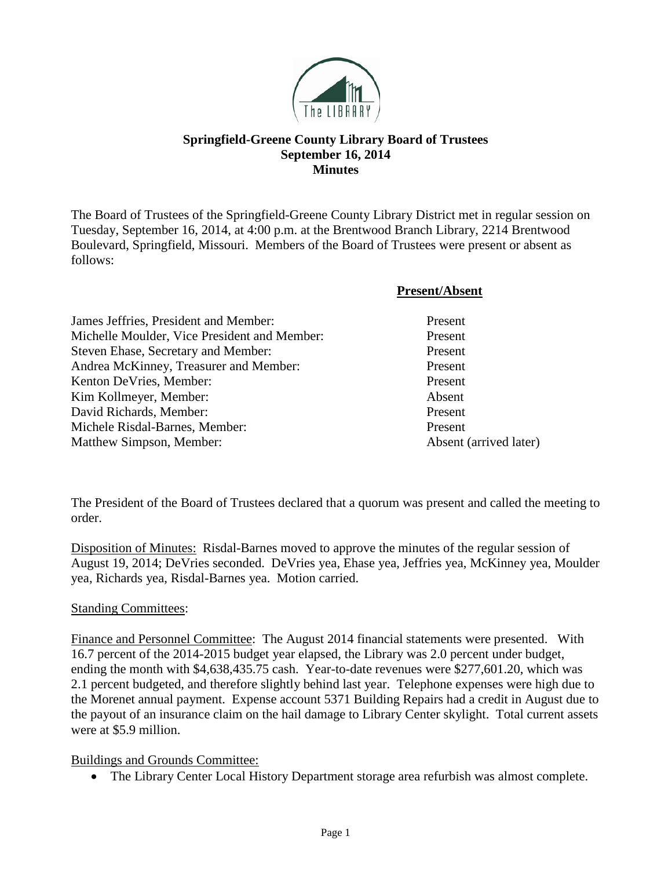

# **Springfield-Greene County Library Board of Trustees September 16, 2014 Minutes**

The Board of Trustees of the Springfield-Greene County Library District met in regular session on Tuesday, September 16, 2014, at 4:00 p.m. at the Brentwood Branch Library, 2214 Brentwood Boulevard, Springfield, Missouri. Members of the Board of Trustees were present or absent as follows:

#### **Present/Absent**

| James Jeffries, President and Member:        | Present                |
|----------------------------------------------|------------------------|
| Michelle Moulder, Vice President and Member: | Present                |
| Steven Ehase, Secretary and Member:          | Present                |
| Andrea McKinney, Treasurer and Member:       | Present                |
| Kenton DeVries, Member:                      | Present                |
| Kim Kollmeyer, Member:                       | Absent                 |
| David Richards, Member:                      | Present                |
| Michele Risdal-Barnes, Member:               | Present                |
| Matthew Simpson, Member:                     | Absent (arrived later) |

The President of the Board of Trustees declared that a quorum was present and called the meeting to order.

Disposition of Minutes: Risdal-Barnes moved to approve the minutes of the regular session of August 19, 2014; DeVries seconded. DeVries yea, Ehase yea, Jeffries yea, McKinney yea, Moulder yea, Richards yea, Risdal-Barnes yea. Motion carried.

#### Standing Committees:

Finance and Personnel Committee: The August 2014 financial statements were presented. With 16.7 percent of the 2014-2015 budget year elapsed, the Library was 2.0 percent under budget, ending the month with \$4,638,435.75 cash. Year-to-date revenues were \$277,601.20, which was 2.1 percent budgeted, and therefore slightly behind last year. Telephone expenses were high due to the Morenet annual payment. Expense account 5371 Building Repairs had a credit in August due to the payout of an insurance claim on the hail damage to Library Center skylight. Total current assets were at \$5.9 million.

#### Buildings and Grounds Committee:

• The Library Center Local History Department storage area refurbish was almost complete.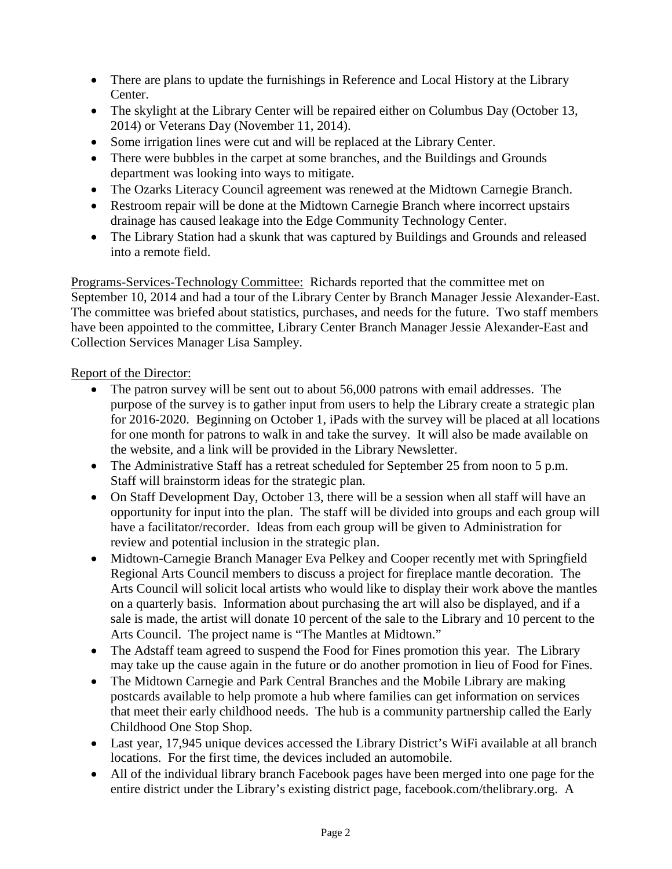- There are plans to update the furnishings in Reference and Local History at the Library Center.
- The skylight at the Library Center will be repaired either on Columbus Day (October 13, 2014) or Veterans Day (November 11, 2014).
- Some irrigation lines were cut and will be replaced at the Library Center.
- There were bubbles in the carpet at some branches, and the Buildings and Grounds department was looking into ways to mitigate.
- The Ozarks Literacy Council agreement was renewed at the Midtown Carnegie Branch.
- Restroom repair will be done at the Midtown Carnegie Branch where incorrect upstairs drainage has caused leakage into the Edge Community Technology Center.
- The Library Station had a skunk that was captured by Buildings and Grounds and released into a remote field.

Programs-Services-Technology Committee: Richards reported that the committee met on September 10, 2014 and had a tour of the Library Center by Branch Manager Jessie Alexander-East. The committee was briefed about statistics, purchases, and needs for the future. Two staff members have been appointed to the committee, Library Center Branch Manager Jessie Alexander-East and Collection Services Manager Lisa Sampley.

# Report of the Director:

- The patron survey will be sent out to about 56,000 patrons with email addresses. The purpose of the survey is to gather input from users to help the Library create a strategic plan for 2016-2020. Beginning on October 1, iPads with the survey will be placed at all locations for one month for patrons to walk in and take the survey. It will also be made available on the website, and a link will be provided in the Library Newsletter.
- The Administrative Staff has a retreat scheduled for September 25 from noon to 5 p.m. Staff will brainstorm ideas for the strategic plan.
- On Staff Development Day, October 13, there will be a session when all staff will have an opportunity for input into the plan. The staff will be divided into groups and each group will have a facilitator/recorder. Ideas from each group will be given to Administration for review and potential inclusion in the strategic plan.
- Midtown-Carnegie Branch Manager Eva Pelkey and Cooper recently met with Springfield Regional Arts Council members to discuss a project for fireplace mantle decoration. The Arts Council will solicit local artists who would like to display their work above the mantles on a quarterly basis. Information about purchasing the art will also be displayed, and if a sale is made, the artist will donate 10 percent of the sale to the Library and 10 percent to the Arts Council. The project name is "The Mantles at Midtown."
- The Adstaff team agreed to suspend the Food for Fines promotion this year. The Library may take up the cause again in the future or do another promotion in lieu of Food for Fines.
- The Midtown Carnegie and Park Central Branches and the Mobile Library are making postcards available to help promote a hub where families can get information on services that meet their early childhood needs. The hub is a community partnership called the Early Childhood One Stop Shop.
- Last year, 17,945 unique devices accessed the Library District's WiFi available at all branch locations. For the first time, the devices included an automobile.
- All of the individual library branch Facebook pages have been merged into one page for the entire district under the Library's existing district page, facebook.com/thelibrary.org. A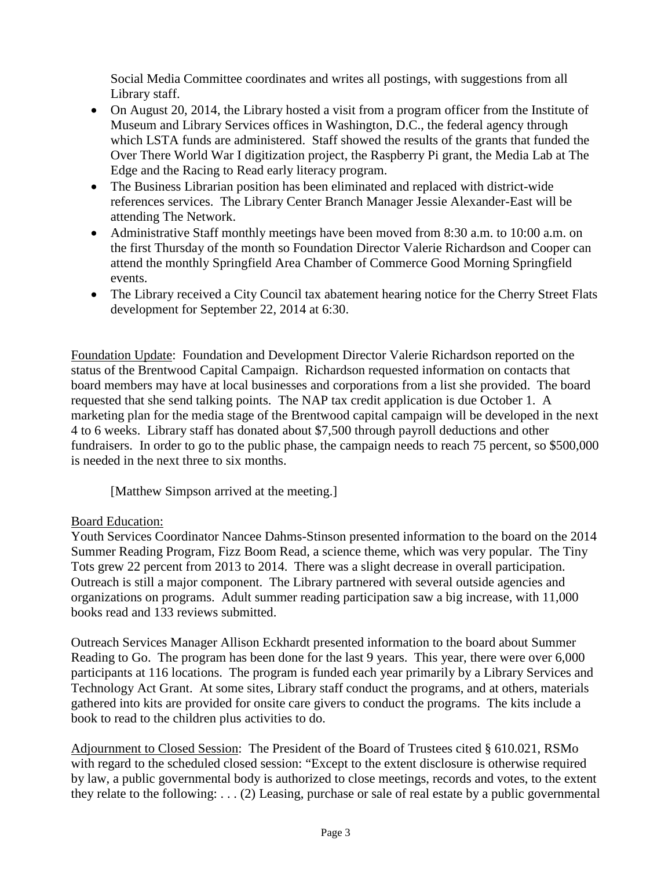Social Media Committee coordinates and writes all postings, with suggestions from all Library staff.

- On August 20, 2014, the Library hosted a visit from a program officer from the Institute of Museum and Library Services offices in Washington, D.C., the federal agency through which LSTA funds are administered. Staff showed the results of the grants that funded the Over There World War I digitization project, the Raspberry Pi grant, the Media Lab at The Edge and the Racing to Read early literacy program.
- The Business Librarian position has been eliminated and replaced with district-wide references services. The Library Center Branch Manager Jessie Alexander-East will be attending The Network.
- Administrative Staff monthly meetings have been moved from 8:30 a.m. to 10:00 a.m. on the first Thursday of the month so Foundation Director Valerie Richardson and Cooper can attend the monthly Springfield Area Chamber of Commerce Good Morning Springfield events.
- The Library received a City Council tax abatement hearing notice for the Cherry Street Flats development for September 22, 2014 at 6:30.

Foundation Update: Foundation and Development Director Valerie Richardson reported on the status of the Brentwood Capital Campaign. Richardson requested information on contacts that board members may have at local businesses and corporations from a list she provided. The board requested that she send talking points. The NAP tax credit application is due October 1. A marketing plan for the media stage of the Brentwood capital campaign will be developed in the next 4 to 6 weeks. Library staff has donated about \$7,500 through payroll deductions and other fundraisers. In order to go to the public phase, the campaign needs to reach 75 percent, so \$500,000 is needed in the next three to six months.

[Matthew Simpson arrived at the meeting.]

### Board Education:

Youth Services Coordinator Nancee Dahms-Stinson presented information to the board on the 2014 Summer Reading Program, Fizz Boom Read, a science theme, which was very popular. The Tiny Tots grew 22 percent from 2013 to 2014. There was a slight decrease in overall participation. Outreach is still a major component. The Library partnered with several outside agencies and organizations on programs. Adult summer reading participation saw a big increase, with 11,000 books read and 133 reviews submitted.

Outreach Services Manager Allison Eckhardt presented information to the board about Summer Reading to Go. The program has been done for the last 9 years. This year, there were over 6,000 participants at 116 locations. The program is funded each year primarily by a Library Services and Technology Act Grant. At some sites, Library staff conduct the programs, and at others, materials gathered into kits are provided for onsite care givers to conduct the programs. The kits include a book to read to the children plus activities to do.

Adjournment to Closed Session: The President of the Board of Trustees cited § 610.021, RSMo with regard to the scheduled closed session: "Except to the extent disclosure is otherwise required by law, a public governmental body is authorized to close meetings, records and votes, to the extent they relate to the following: . . . (2) Leasing, purchase or sale of real estate by a public governmental